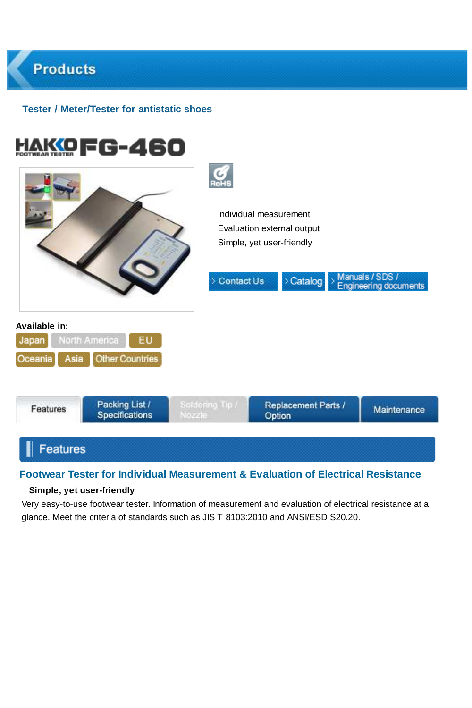# **Products Tester / Meter/Tester for antistatic shoes** HAKOFG-460 Individual measurement Evaluation external output Simple, yet user-friendly

Manuals / SDS /

documents



Contact Us

> Catalog

# **Footwear Tester for Individual Measurement & Evaluation of Electrical Resistance**

#### **Simple, yet user-friendly**

lorth America

Asia

EU Other Countries

**Available in:**

lapan

Oceania

Very easy-to-use footwear tester. Information of measurement and evaluation of electrical resistance at a glance. Meet the criteria of standards such as JIS T 8103:2010 and ANSI/ESD S20.20.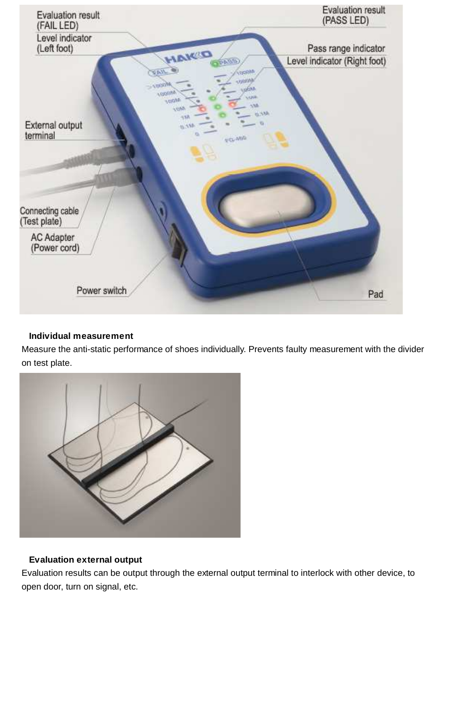

## **Individual measurement**

Measure the anti-static performance of shoes individually. Prevents faulty measurement with the divider on test plate.



# **Evaluation external output**

Evaluation results can be output through the external output terminal to interlock with other device, to open door, turn on signal, etc.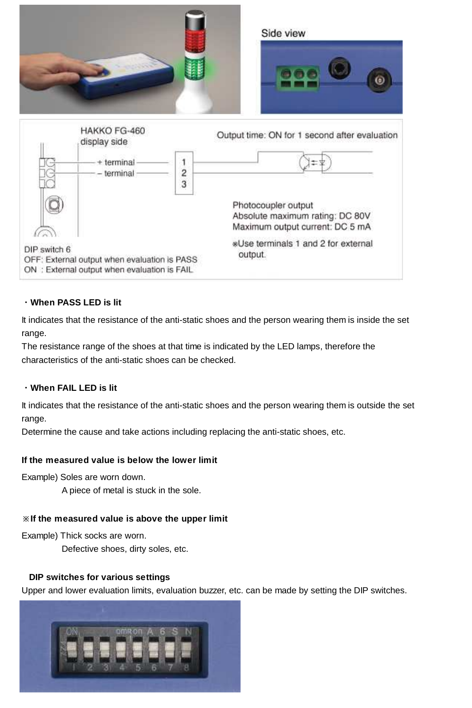

## ・**When PASS LED is lit**

It indicates that the resistance of the anti-static shoes and the person wearing them is inside the set range.

The resistance range of the shoes at that time is indicated by the LED lamps, therefore the characteristics of the anti-static shoes can be checked.

#### ・**When FAIL LED is lit**

It indicates that the resistance of the anti-static shoes and the person wearing them is outside the set range.

Determine the cause and take actions including replacing the anti-static shoes, etc.

#### **If the measured value is below the lower limit**

Example) Soles are worn down.

A piece of metal is stuck in the sole.

#### ※**If the measured value is above the upper limit**

Example) Thick socks are worn.

Defective shoes, dirty soles, etc.

#### **DIP switches for various settings**

Upper and lower evaluation limits, evaluation buzzer, etc. can be made by setting the DIP switches.